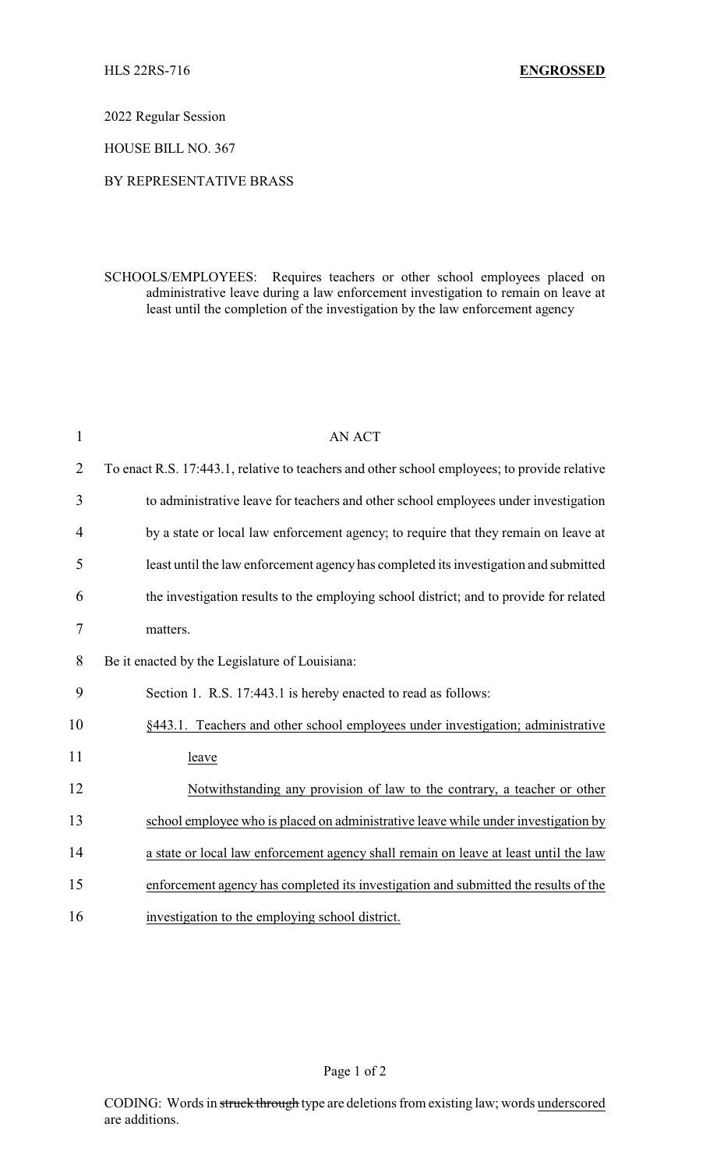2022 Regular Session

HOUSE BILL NO. 367

## BY REPRESENTATIVE BRASS

SCHOOLS/EMPLOYEES: Requires teachers or other school employees placed on administrative leave during a law enforcement investigation to remain on leave at least until the completion of the investigation by the law enforcement agency

| $\mathbf{1}$   | <b>AN ACT</b>                                                                                |
|----------------|----------------------------------------------------------------------------------------------|
| $\overline{2}$ | To enact R.S. 17:443.1, relative to teachers and other school employees; to provide relative |
| 3              | to administrative leave for teachers and other school employees under investigation          |
| 4              | by a state or local law enforcement agency; to require that they remain on leave at          |
| 5              | least until the law enforcement agency has completed its investigation and submitted         |
| 6              | the investigation results to the employing school district; and to provide for related       |
| 7              | matters.                                                                                     |
| 8              | Be it enacted by the Legislature of Louisiana:                                               |
| 9              | Section 1. R.S. 17:443.1 is hereby enacted to read as follows:                               |
| 10             | §443.1. Teachers and other school employees under investigation; administrative              |
| 11             | leave                                                                                        |
| 12             | Notwithstanding any provision of law to the contrary, a teacher or other                     |
| 13             | school employee who is placed on administrative leave while under investigation by           |
| 14             | a state or local law enforcement agency shall remain on leave at least until the law         |
| 15             | enforcement agency has completed its investigation and submitted the results of the          |
| 16             | investigation to the employing school district.                                              |

Page 1 of 2